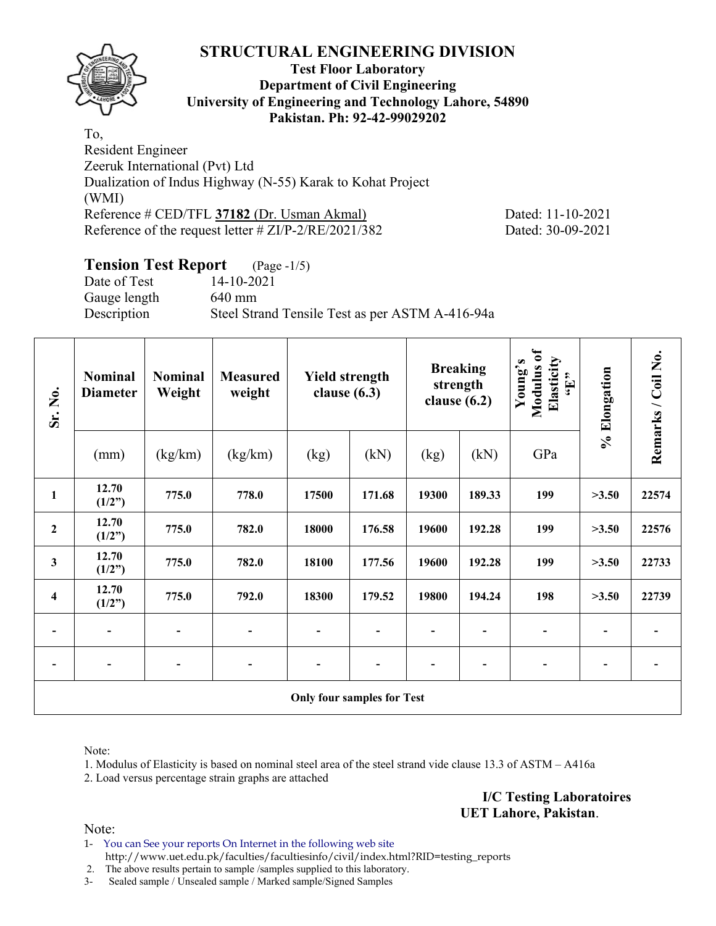

## **Test Floor Laboratory Department of Civil Engineering University of Engineering and Technology Lahore, 54890 Pakistan. Ph: 92-42-99029202**

To, Resident Engineer Zeeruk International (Pvt) Ltd Dualization of Indus Highway (N-55) Karak to Kohat Project (WMI) Reference # CED/TFL **37182** (Dr. Usman Akmal) Dated: 11-10-2021 Reference of the request letter # ZI/P-2/RE/2021/382 Dated: 30-09-2021

# **Tension Test Report** (Page -1/5)

Date of Test 14-10-2021 Gauge length 640 mm Description Steel Strand Tensile Test as per ASTM A-416-94a

| Sr. No.                 | <b>Nominal</b><br><b>Diameter</b> | <b>Nominal</b><br>Weight | <b>Measured</b><br>weight | <b>Yield strength</b><br>clause $(6.3)$ |                                   |       | <b>Breaking</b><br>strength<br>clause $(6.2)$ | Modulus of<br>Elasticity<br>Young's<br>$\epsilon$ . Here | % Elongation | Remarks / Coil No. |
|-------------------------|-----------------------------------|--------------------------|---------------------------|-----------------------------------------|-----------------------------------|-------|-----------------------------------------------|----------------------------------------------------------|--------------|--------------------|
|                         | (mm)                              | (kg/km)                  | (kg/km)                   | (kg)                                    | (kN)                              | (kg)  | (kN)                                          | GPa                                                      |              |                    |
| $\mathbf{1}$            | 12.70<br>(1/2")                   | 775.0                    | 778.0                     | 17500                                   | 171.68                            | 19300 | 189.33                                        | 199                                                      | >3.50        | 22574              |
| $\boldsymbol{2}$        | 12.70<br>(1/2")                   | 775.0                    | 782.0                     | 18000                                   | 176.58                            | 19600 | 192.28                                        | 199                                                      | >3.50        | 22576              |
| $\mathbf{3}$            | 12.70<br>(1/2")                   | 775.0                    | 782.0                     | 18100                                   | 177.56                            | 19600 | 192.28                                        | 199                                                      | >3.50        | 22733              |
| $\overline{\mathbf{4}}$ | 12.70<br>(1/2")                   | 775.0                    | 792.0                     | 18300                                   | 179.52                            | 19800 | 194.24                                        | 198                                                      | >3.50        | 22739              |
|                         |                                   |                          |                           |                                         |                                   |       |                                               |                                                          |              |                    |
| $\overline{a}$          | $\overline{\phantom{a}}$          |                          |                           | $\overline{a}$                          |                                   |       |                                               |                                                          |              |                    |
|                         |                                   |                          |                           |                                         | <b>Only four samples for Test</b> |       |                                               |                                                          |              |                    |

Note:

1. Modulus of Elasticity is based on nominal steel area of the steel strand vide clause 13.3 of ASTM – A416a

2. Load versus percentage strain graphs are attached

**I/C Testing Laboratoires UET Lahore, Pakistan**.

Note:

1- You can See your reports On Internet in the following web site http://www.uet.edu.pk/faculties/facultiesinfo/civil/index.html?RID=testing\_reports

2. The above results pertain to sample /samples supplied to this laboratory.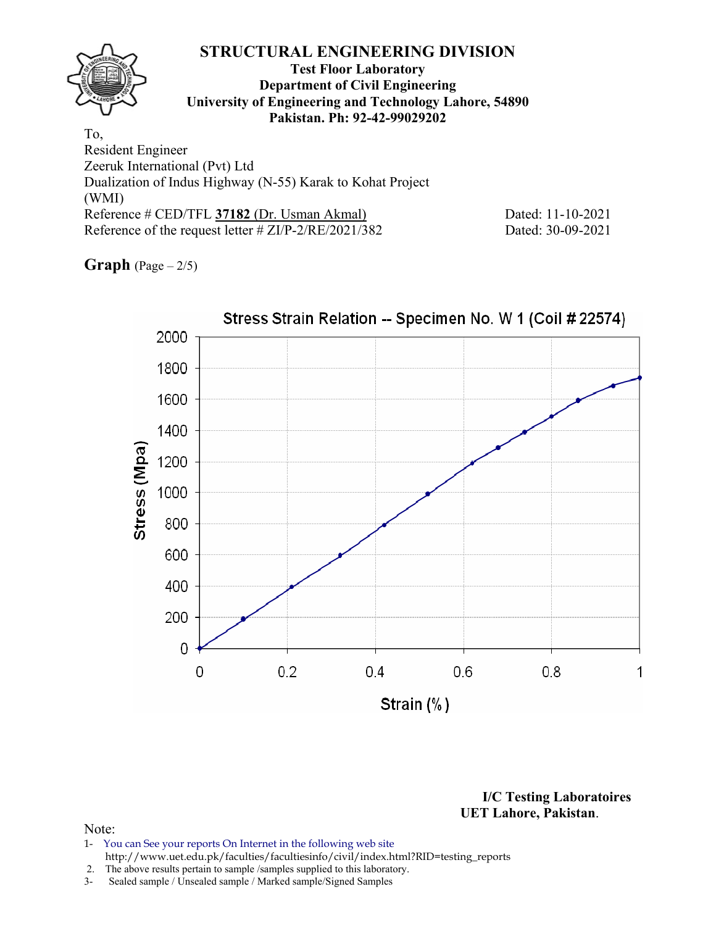(WMI) Reference # CED/TFL **37182** (Dr. Usman Akmal) Dated: 11-10-2021 Reference of the request letter # ZI/P-2/RE/2021/382 Dated: 30-09-2021

**Graph**  $(Page - 2/5)$ 



**I/C Testing Laboratoires UET Lahore, Pakistan**.

- 1- You can See your reports On Internet in the following web site http://www.uet.edu.pk/faculties/facultiesinfo/civil/index.html?RID=testing\_reports
- 2. The above results pertain to sample /samples supplied to this laboratory.
- 3- Sealed sample / Unsealed sample / Marked sample/Signed Samples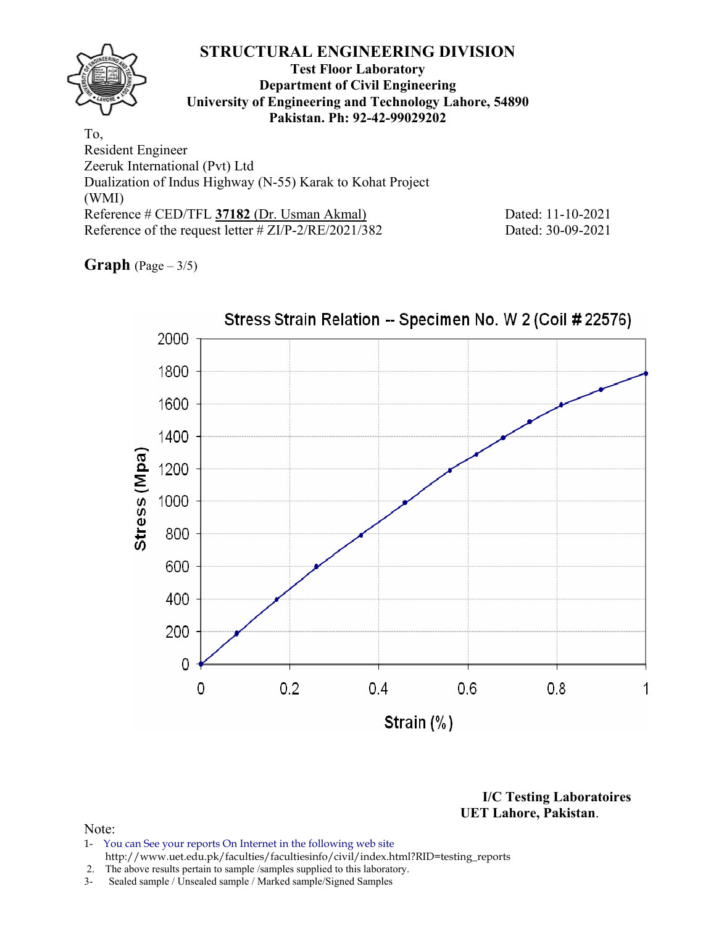(WMI) Reference # CED/TFL **37182** (Dr. Usman Akmal) Dated: 11-10-2021 Reference of the request letter # ZI/P-2/RE/2021/382 Dated: 30-09-2021

**Graph** (Page – 3/5)



**I/C Testing Laboratoires UET Lahore, Pakistan**.

- 1- You can See your reports On Internet in the following web site http://www.uet.edu.pk/faculties/facultiesinfo/civil/index.html?RID=testing\_reports
- 2. The above results pertain to sample /samples supplied to this laboratory.
- 3- Sealed sample / Unsealed sample / Marked sample/Signed Samples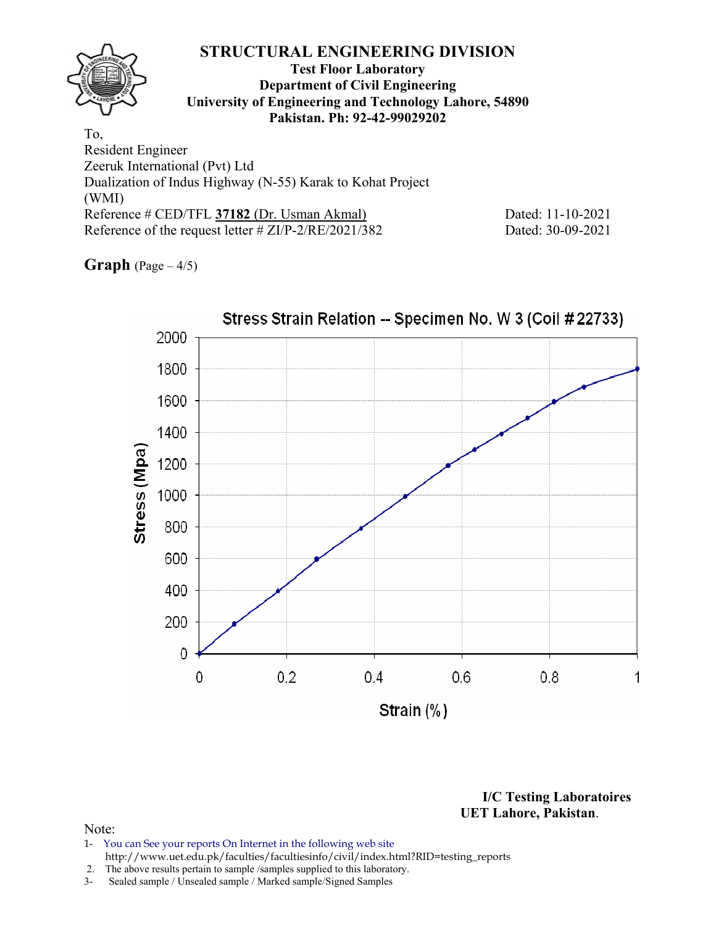(WMI) Reference # CED/TFL **37182** (Dr. Usman Akmal) Dated: 11-10-2021 Reference of the request letter # ZI/P-2/RE/2021/382 Dated: 30-09-2021

**Graph** (Page – 4/5)



**I/C Testing Laboratoires UET Lahore, Pakistan**.

- 1- You can See your reports On Internet in the following web site http://www.uet.edu.pk/faculties/facultiesinfo/civil/index.html?RID=testing\_reports
- 2. The above results pertain to sample /samples supplied to this laboratory.
- 3- Sealed sample / Unsealed sample / Marked sample/Signed Samples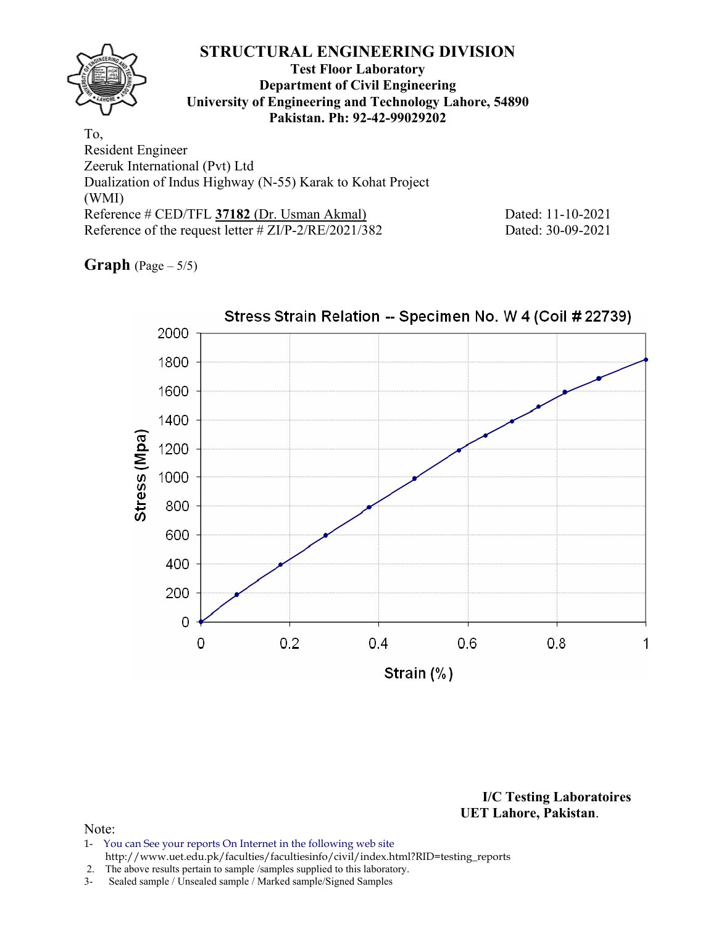(WMI) Reference # CED/TFL **37182** (Dr. Usman Akmal) Dated: 11-10-2021 Reference of the request letter # ZI/P-2/RE/2021/382 Dated: 30-09-2021

**Graph** (Page – 5/5)



**I/C Testing Laboratoires UET Lahore, Pakistan**.

- 1- You can See your reports On Internet in the following web site http://www.uet.edu.pk/faculties/facultiesinfo/civil/index.html?RID=testing\_reports
- 2. The above results pertain to sample /samples supplied to this laboratory.
- 3- Sealed sample / Unsealed sample / Marked sample/Signed Samples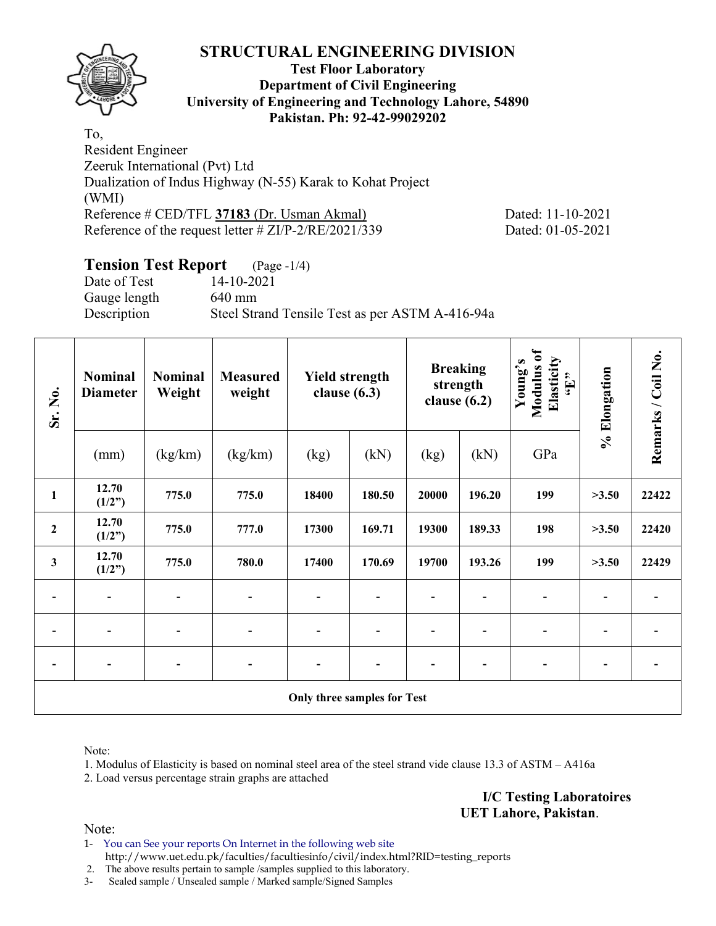

## **Test Floor Laboratory Department of Civil Engineering University of Engineering and Technology Lahore, 54890 Pakistan. Ph: 92-42-99029202**

To, Resident Engineer Zeeruk International (Pvt) Ltd Dualization of Indus Highway (N-55) Karak to Kohat Project (WMI) Reference # CED/TFL **37183** (Dr. Usman Akmal) Dated: 11-10-2021 Reference of the request letter # ZI/P-2/RE/2021/339 Dated: 01-05-2021

# **Tension Test Report** (Page -1/4)

Date of Test 14-10-2021 Gauge length 640 mm Description Steel Strand Tensile Test as per ASTM A-416-94a

| Sr. No.          | <b>Nominal</b><br><b>Diameter</b> | <b>Nominal</b><br>Weight | <b>Measured</b><br>weight | <b>Yield strength</b><br>clause $(6.3)$ |        |       | <b>Breaking</b><br>strength<br>clause $(6.2)$ | Modulus of<br>Elasticity<br>Young's<br>$\mathbf{H}$ | % Elongation | Remarks / Coil No. |
|------------------|-----------------------------------|--------------------------|---------------------------|-----------------------------------------|--------|-------|-----------------------------------------------|-----------------------------------------------------|--------------|--------------------|
|                  | (mm)                              | (kg/km)                  | (kg/km)                   | (kg)                                    | (kN)   | (kg)  | (kN)                                          | GPa                                                 |              |                    |
| $\mathbf{1}$     | 12.70<br>(1/2")                   | 775.0                    | 775.0                     | 18400                                   | 180.50 | 20000 | 196.20                                        | 199                                                 | >3.50        | 22422              |
| $\boldsymbol{2}$ | 12.70<br>(1/2")                   | 775.0                    | 777.0                     | 17300                                   | 169.71 | 19300 | 189.33                                        | 198                                                 | >3.50        | 22420              |
| $\mathbf{3}$     | 12.70<br>(1/2")                   | 775.0                    | 780.0                     | 17400                                   | 170.69 | 19700 | 193.26                                        | 199                                                 | >3.50        | 22429              |
|                  | $\overline{\phantom{a}}$          |                          |                           | $\overline{\phantom{a}}$                |        |       |                                               |                                                     |              |                    |
|                  |                                   |                          |                           |                                         |        |       |                                               |                                                     |              |                    |
|                  | $\overline{\phantom{a}}$          |                          |                           | -                                       |        |       |                                               |                                                     |              |                    |
|                  |                                   |                          |                           | <b>Only three samples for Test</b>      |        |       |                                               |                                                     |              |                    |

Note:

1. Modulus of Elasticity is based on nominal steel area of the steel strand vide clause 13.3 of ASTM – A416a

2. Load versus percentage strain graphs are attached

**I/C Testing Laboratoires UET Lahore, Pakistan**.

Note:

1- You can See your reports On Internet in the following web site http://www.uet.edu.pk/faculties/facultiesinfo/civil/index.html?RID=testing\_reports

2. The above results pertain to sample /samples supplied to this laboratory.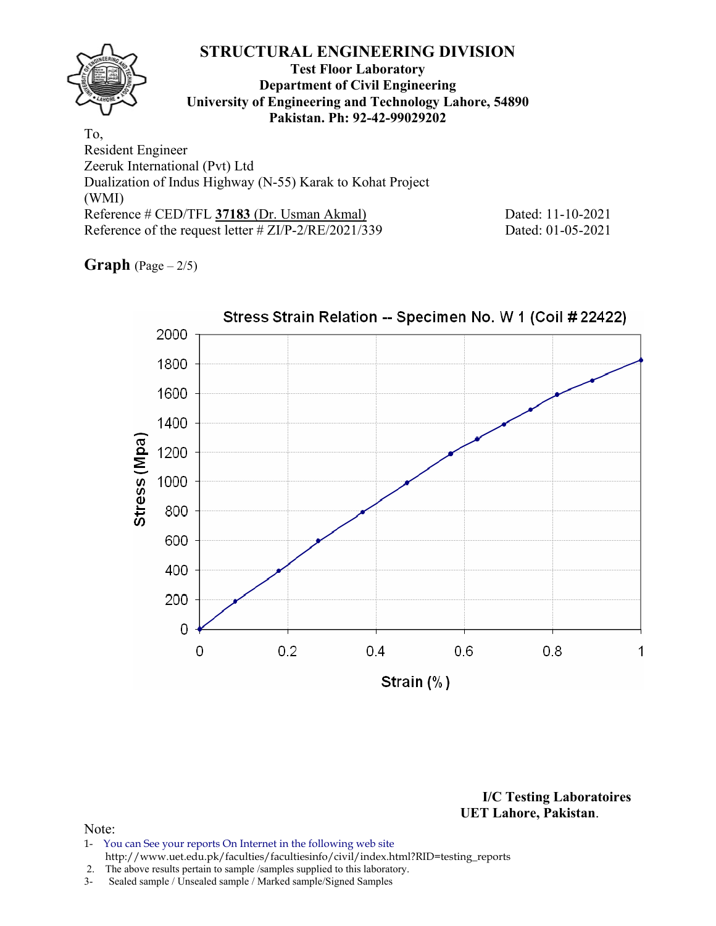(WMI) Reference # CED/TFL **37183** (Dr. Usman Akmal) Dated: 11-10-2021 Reference of the request letter # ZI/P-2/RE/2021/339 Dated: 01-05-2021

**Graph**  $(Page - 2/5)$ 



**I/C Testing Laboratoires UET Lahore, Pakistan**.

- 1- You can See your reports On Internet in the following web site http://www.uet.edu.pk/faculties/facultiesinfo/civil/index.html?RID=testing\_reports
- 2. The above results pertain to sample /samples supplied to this laboratory.
- 3- Sealed sample / Unsealed sample / Marked sample/Signed Samples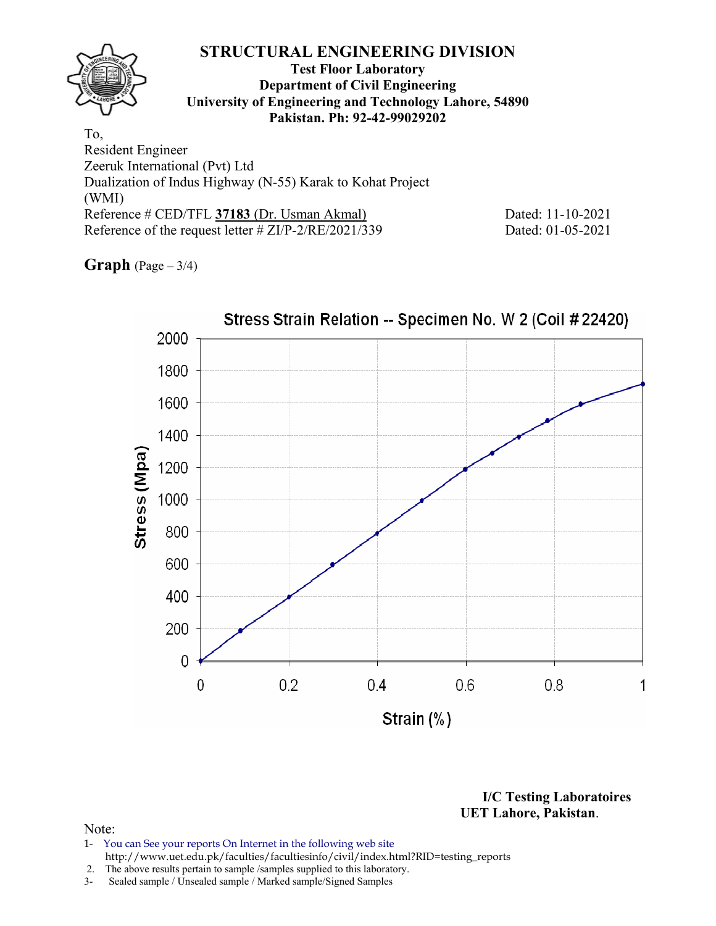(WMI) Reference # CED/TFL **37183** (Dr. Usman Akmal) Dated: 11-10-2021 Reference of the request letter # ZI/P-2/RE/2021/339 Dated: 01-05-2021

**Graph** (Page – 3/4)



**I/C Testing Laboratoires UET Lahore, Pakistan**.

- 1- You can See your reports On Internet in the following web site http://www.uet.edu.pk/faculties/facultiesinfo/civil/index.html?RID=testing\_reports
- 2. The above results pertain to sample /samples supplied to this laboratory.
- 3- Sealed sample / Unsealed sample / Marked sample/Signed Samples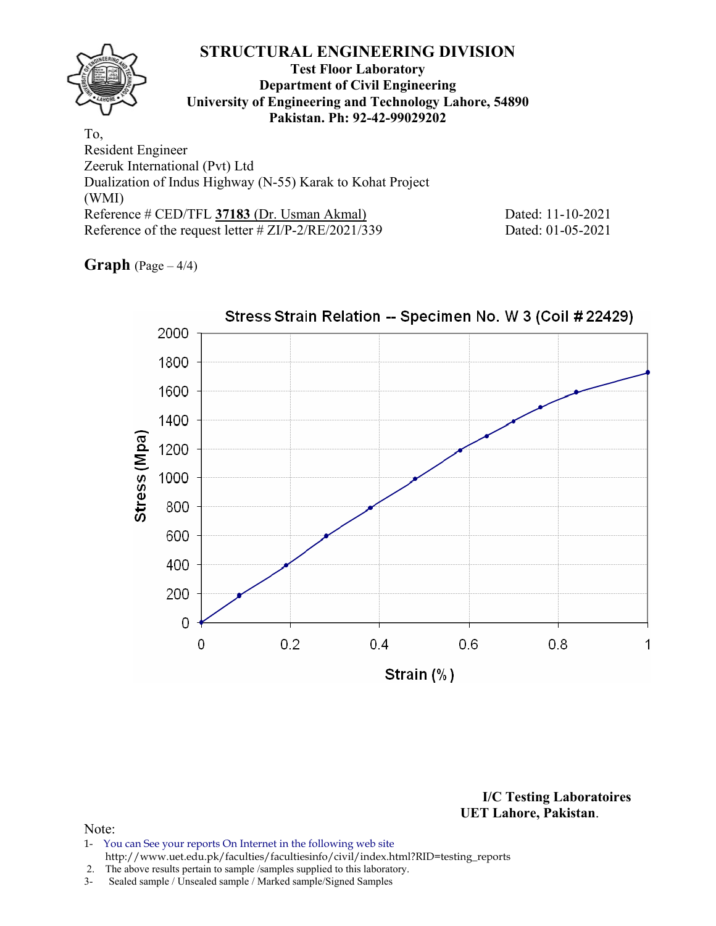(WMI) Reference # CED/TFL **37183** (Dr. Usman Akmal) Dated: 11-10-2021 Reference of the request letter # ZI/P-2/RE/2021/339 Dated: 01-05-2021

**Graph**  $(Page - 4/4)$ 



**I/C Testing Laboratoires UET Lahore, Pakistan**.

## Note:

1- You can See your reports On Internet in the following web site http://www.uet.edu.pk/faculties/facultiesinfo/civil/index.html?RID=testing\_reports

2. The above results pertain to sample /samples supplied to this laboratory.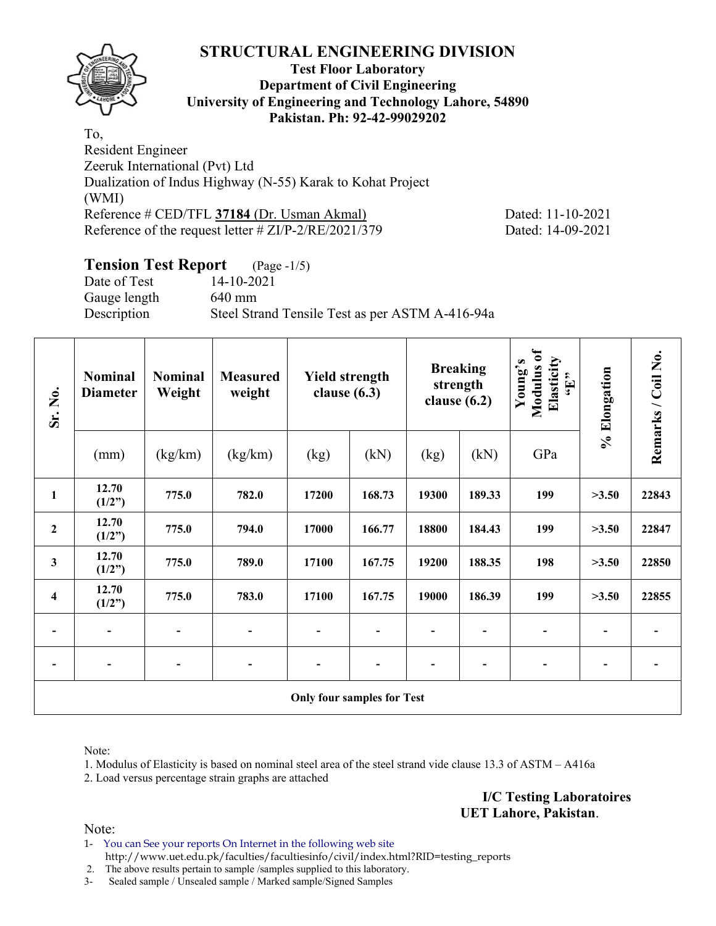

## **Test Floor Laboratory Department of Civil Engineering University of Engineering and Technology Lahore, 54890 Pakistan. Ph: 92-42-99029202**

To, Resident Engineer Zeeruk International (Pvt) Ltd Dualization of Indus Highway (N-55) Karak to Kohat Project (WMI) Reference # CED/TFL **37184** (Dr. Usman Akmal) Dated: 11-10-2021 Reference of the request letter # ZI/P-2/RE/2021/379 Dated: 14-09-2021

# **Tension Test Report** (Page -1/5)

Date of Test 14-10-2021 Gauge length 640 mm Description Steel Strand Tensile Test as per ASTM A-416-94a

| Sr. No.                 | <b>Nominal</b><br><b>Diameter</b> | <b>Nominal</b><br>Weight | <b>Measured</b><br>weight | <b>Yield strength</b><br>clause $(6.3)$ |        |       | <b>Breaking</b><br>strength<br>clause $(6.2)$ | Modulus of<br>Elasticity<br>Young's<br>$\mathbf{H}$ | % Elongation | Remarks / Coil No. |
|-------------------------|-----------------------------------|--------------------------|---------------------------|-----------------------------------------|--------|-------|-----------------------------------------------|-----------------------------------------------------|--------------|--------------------|
|                         | (mm)                              | (kg/km)                  | (kg/km)                   | (kg)                                    | (kN)   | (kg)  | (kN)                                          | GPa                                                 |              |                    |
| $\mathbf{1}$            | 12.70<br>(1/2")                   | 775.0                    | 782.0                     | 17200                                   | 168.73 | 19300 | 189.33                                        | 199                                                 | >3.50        | 22843              |
| $\overline{2}$          | 12.70<br>(1/2")                   | 775.0                    | 794.0                     | 17000                                   | 166.77 | 18800 | 184.43                                        | 199                                                 | >3.50        | 22847              |
| $\mathbf{3}$            | 12.70<br>(1/2")                   | 775.0                    | 789.0                     | 17100                                   | 167.75 | 19200 | 188.35                                        | 198                                                 | >3.50        | 22850              |
| $\overline{\mathbf{4}}$ | 12.70<br>(1/2")                   | 775.0                    | 783.0                     | 17100                                   | 167.75 | 19000 | 186.39                                        | 199                                                 | >3.50        | 22855              |
|                         |                                   |                          |                           |                                         |        |       |                                               |                                                     |              |                    |
|                         |                                   |                          |                           |                                         |        |       |                                               |                                                     |              |                    |
|                         |                                   |                          |                           | <b>Only four samples for Test</b>       |        |       |                                               |                                                     |              |                    |

Note:

1. Modulus of Elasticity is based on nominal steel area of the steel strand vide clause 13.3 of ASTM – A416a

2. Load versus percentage strain graphs are attached

**I/C Testing Laboratoires UET Lahore, Pakistan**.

Note:

1- You can See your reports On Internet in the following web site http://www.uet.edu.pk/faculties/facultiesinfo/civil/index.html?RID=testing\_reports

2. The above results pertain to sample /samples supplied to this laboratory.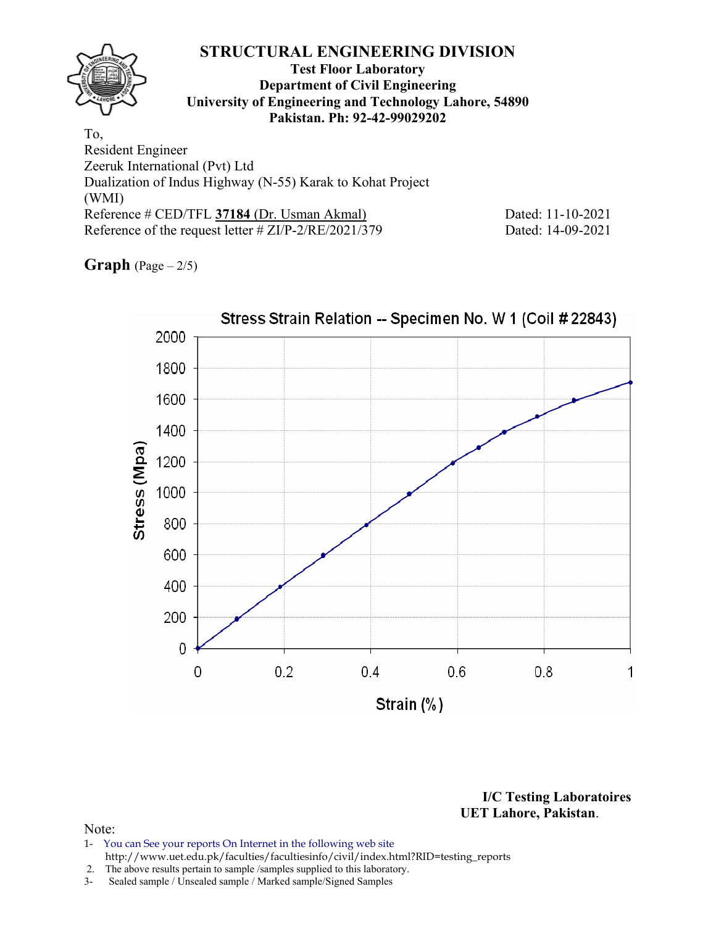Reference # CED/TFL **37184** (Dr. Usman Akmal) Dated: 11-10-2021 Reference of the request letter # ZI/P-2/RE/2021/379 Dated: 14-09-2021

**Graph**  $(Page - 2/5)$ 

(WMI)



**I/C Testing Laboratoires UET Lahore, Pakistan**.

- 1- You can See your reports On Internet in the following web site http://www.uet.edu.pk/faculties/facultiesinfo/civil/index.html?RID=testing\_reports
- 2. The above results pertain to sample /samples supplied to this laboratory.
- 3- Sealed sample / Unsealed sample / Marked sample/Signed Samples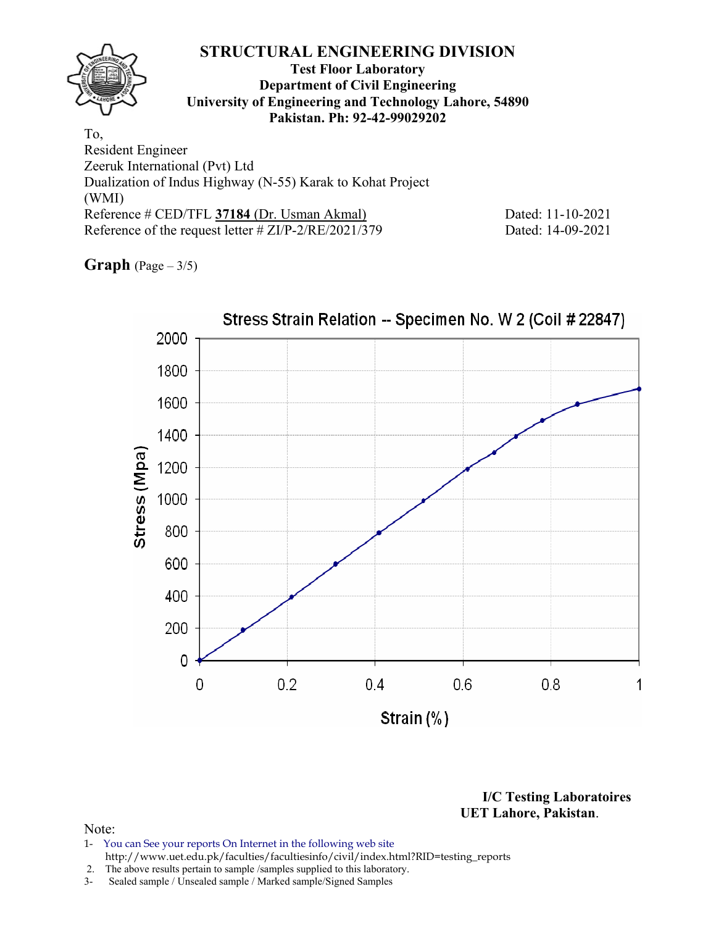(WMI) Reference # CED/TFL **37184** (Dr. Usman Akmal) Dated: 11-10-2021 Reference of the request letter # ZI/P-2/RE/2021/379 Dated: 14-09-2021

**Graph** (Page – 3/5)



**I/C Testing Laboratoires UET Lahore, Pakistan**.

- 1- You can See your reports On Internet in the following web site http://www.uet.edu.pk/faculties/facultiesinfo/civil/index.html?RID=testing\_reports
- 2. The above results pertain to sample /samples supplied to this laboratory.
- 3- Sealed sample / Unsealed sample / Marked sample/Signed Samples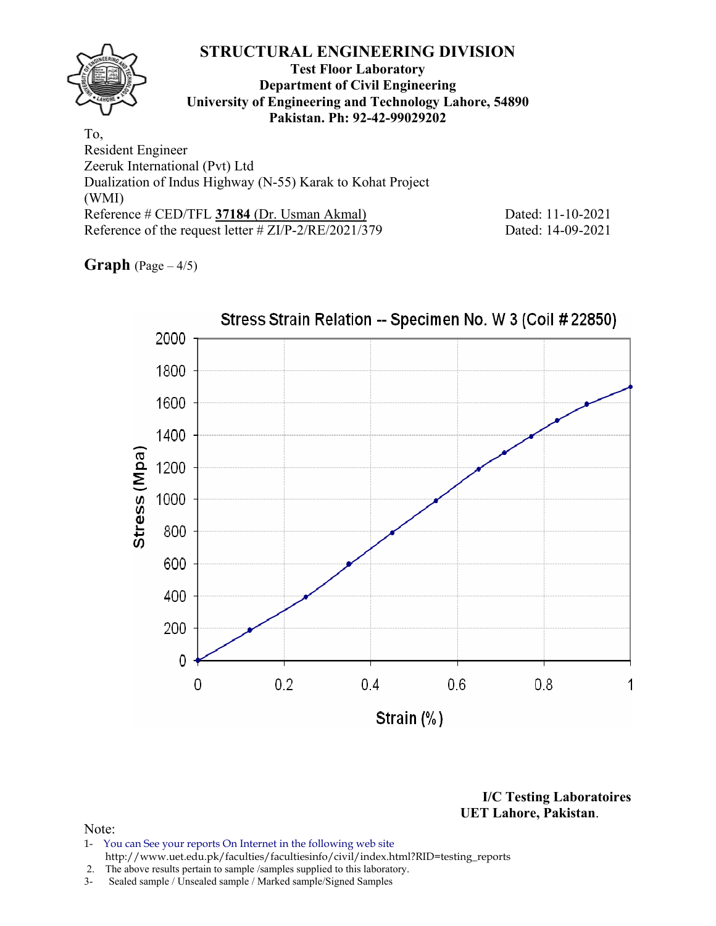## **STRUCTURAL ENGINEERING DIVISION Test Floor Laboratory Department of Civil Engineering University of Engineering and Technology Lahore, 54890 Pakistan. Ph: 92-42-99029202**  To, Resident Engineer Zeeruk International (Pvt) Ltd

Dualization of Indus Highway (N-55) Karak to Kohat Project (WMI) Reference # CED/TFL **37184** (Dr. Usman Akmal) Dated: 11-10-2021 Reference of the request letter # ZI/P-2/RE/2021/379 Dated: 14-09-2021

**Graph** (Page – 4/5)



**I/C Testing Laboratoires UET Lahore, Pakistan**.

- 1- You can See your reports On Internet in the following web site http://www.uet.edu.pk/faculties/facultiesinfo/civil/index.html?RID=testing\_reports
- 2. The above results pertain to sample /samples supplied to this laboratory.
- 3- Sealed sample / Unsealed sample / Marked sample/Signed Samples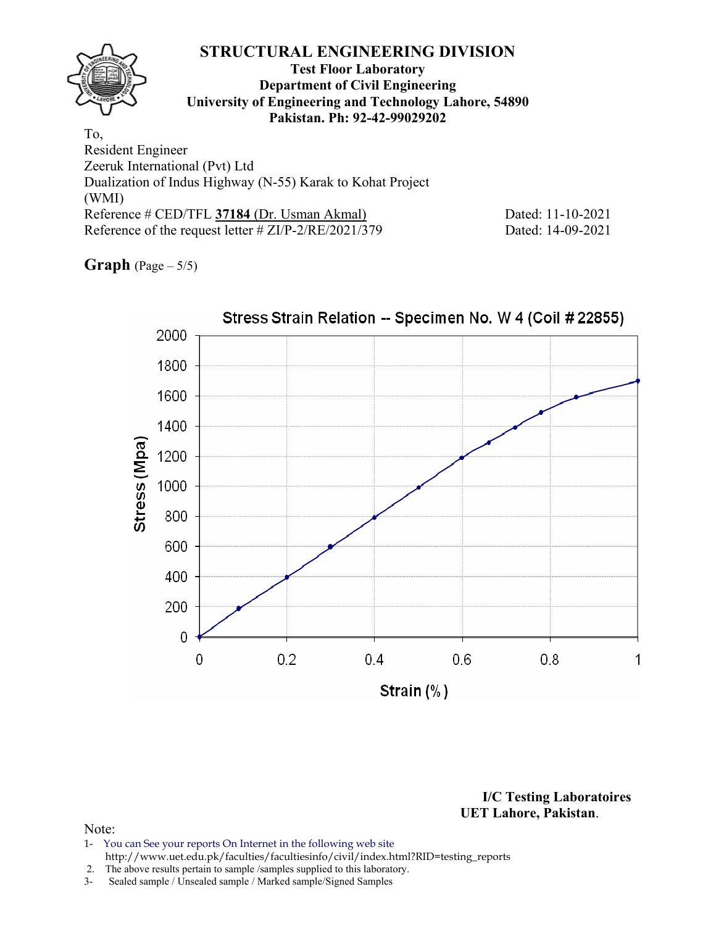(WMI) Reference # CED/TFL **37184** (Dr. Usman Akmal) Dated: 11-10-2021 Reference of the request letter # ZI/P-2/RE/2021/379 Dated: 14-09-2021

**Graph** (Page – 5/5)



**I/C Testing Laboratoires UET Lahore, Pakistan**.

- 1- You can See your reports On Internet in the following web site http://www.uet.edu.pk/faculties/facultiesinfo/civil/index.html?RID=testing\_reports
- 2. The above results pertain to sample /samples supplied to this laboratory.
- 3- Sealed sample / Unsealed sample / Marked sample/Signed Samples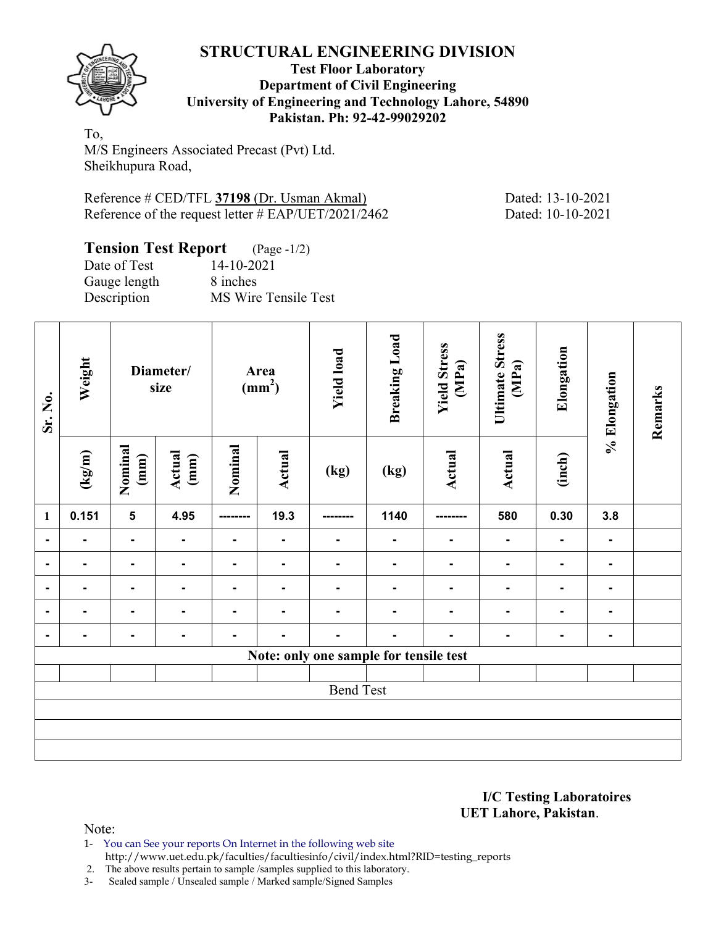

## **Test Floor Laboratory Department of Civil Engineering University of Engineering and Technology Lahore, 54890 Pakistan. Ph: 92-42-99029202**

To, M/S Engineers Associated Precast (Pvt) Ltd. Sheikhupura Road,

Reference # CED/TFL **37198** (Dr. Usman Akmal) Dated: 13-10-2021 Reference of the request letter # EAP/UET/2021/2462 Dated: 10-10-2021

# **Tension Test Report** (Page -1/2)

| Date of Test | 14-10-2021           |
|--------------|----------------------|
| Gauge length | 8 inches             |
| Description  | MS Wire Tensile Test |

| Sr. No.        | Weight |                          | Diameter/<br>size |                | Area<br>(mm <sup>2</sup> ) | <b>Yield load</b>                      | <b>Breaking Load</b> | <b>Yield Stress</b><br>(MPa) | <b>Ultimate Stress</b><br>(MPa) | Elongation     | % Elongation   | Remarks |
|----------------|--------|--------------------------|-------------------|----------------|----------------------------|----------------------------------------|----------------------|------------------------------|---------------------------------|----------------|----------------|---------|
|                | (kg/m) | Nominal<br>$(\text{mm})$ | Actual<br>(mm)    | Nominal        | <b>Actual</b>              | (kg)                                   | (kg)                 | <b>Actual</b>                | Actual                          | (inch)         |                |         |
| $\mathbf{1}$   | 0.151  | $5\phantom{a}$           | 4.95              | --------       | 19.3                       |                                        | 1140                 |                              | 580                             | 0.30           | 3.8            |         |
| $\blacksquare$ |        | $\blacksquare$           | $\blacksquare$    | $\blacksquare$ | $\overline{\phantom{a}}$   | ۰                                      | $\blacksquare$       | $\blacksquare$               | $\blacksquare$                  | $\blacksquare$ | $\blacksquare$ |         |
|                |        | Ξ.                       | $\blacksquare$    | ۰.             | $\blacksquare$             | $\blacksquare$                         | $\blacksquare$       |                              | $\blacksquare$                  | $\blacksquare$ | ۰.             |         |
|                |        | $\blacksquare$           |                   |                |                            |                                        |                      |                              |                                 |                |                |         |
| $\blacksquare$ |        | ۰                        |                   |                |                            |                                        |                      |                              |                                 |                | $\blacksquare$ |         |
|                |        |                          | $\blacksquare$    |                |                            |                                        |                      |                              |                                 |                | -              |         |
|                |        |                          |                   |                |                            | Note: only one sample for tensile test |                      |                              |                                 |                |                |         |
|                |        |                          |                   |                |                            |                                        |                      |                              |                                 |                |                |         |
|                |        |                          |                   |                |                            | <b>Bend Test</b>                       |                      |                              |                                 |                |                |         |
|                |        |                          |                   |                |                            |                                        |                      |                              |                                 |                |                |         |
|                |        |                          |                   |                |                            |                                        |                      |                              |                                 |                |                |         |
|                |        |                          |                   |                |                            |                                        |                      |                              |                                 |                |                |         |

**I/C Testing Laboratoires UET Lahore, Pakistan**.

Note:

1- You can See your reports On Internet in the following web site http://www.uet.edu.pk/faculties/facultiesinfo/civil/index.html?RID=testing\_reports

2. The above results pertain to sample /samples supplied to this laboratory.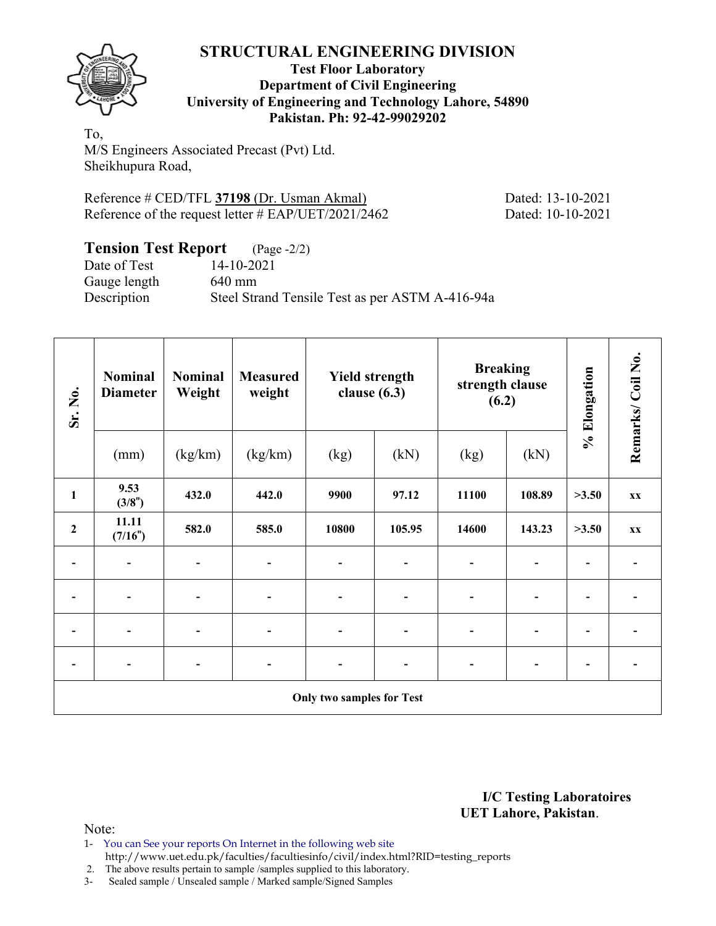

## **Test Floor Laboratory Department of Civil Engineering University of Engineering and Technology Lahore, 54890 Pakistan. Ph: 92-42-99029202**

To, M/S Engineers Associated Precast (Pvt) Ltd. Sheikhupura Road,

Reference # CED/TFL **37198** (Dr. Usman Akmal) Dated: 13-10-2021 Reference of the request letter # EAP/UET/2021/2462 Dated: 10-10-2021

# **Tension Test Report** (Page -2/2)

Date of Test 14-10-2021 Gauge length 640 mm Description Steel Strand Tensile Test as per ASTM A-416-94a

| Sr. No.                  | <b>Nominal</b><br><b>Nominal</b><br>Weight<br><b>Diameter</b> |                              | <b>Measured</b><br>weight    | <b>Yield strength</b><br>clause $(6.3)$ |                              | <b>Breaking</b><br>strength clause<br>(6.2) |                              | % Elongation                 | Remarks/Coil No. |
|--------------------------|---------------------------------------------------------------|------------------------------|------------------------------|-----------------------------------------|------------------------------|---------------------------------------------|------------------------------|------------------------------|------------------|
|                          | (mm)                                                          | (kg/km)                      | (kg/km)                      | (kg)                                    | (kN)                         | (kg)                                        | (kN)                         |                              |                  |
| $\mathbf{1}$             | 9.53<br>(3/8")                                                | 432.0                        | 442.0                        | 9900                                    | 97.12                        | 11100                                       | 108.89                       | >3.50                        | <b>XX</b>        |
| $\overline{2}$           | 11.11<br>(7/16")                                              | 582.0                        | 585.0                        | 10800                                   | 105.95                       | 14600                                       | 143.23                       | >3.50                        | <b>XX</b>        |
|                          |                                                               |                              | $\qquad \qquad \blacksquare$ |                                         |                              |                                             | -                            |                              |                  |
|                          |                                                               |                              | $\overline{\phantom{0}}$     |                                         |                              | $\blacksquare$                              | $\overline{\phantom{0}}$     |                              |                  |
|                          |                                                               |                              | $\qquad \qquad \blacksquare$ |                                         |                              | $\overline{a}$                              | -                            |                              |                  |
| $\overline{\phantom{a}}$ | $\overline{\phantom{0}}$                                      | $\qquad \qquad \blacksquare$ | $\overline{\phantom{a}}$     |                                         | $\qquad \qquad \blacksquare$ | $\overline{\phantom{a}}$                    | $\qquad \qquad \blacksquare$ | $\qquad \qquad \blacksquare$ |                  |
|                          |                                                               |                              |                              | <b>Only two samples for Test</b>        |                              |                                             |                              |                              |                  |

**I/C Testing Laboratoires UET Lahore, Pakistan**.

Note:

- 1- You can See your reports On Internet in the following web site http://www.uet.edu.pk/faculties/facultiesinfo/civil/index.html?RID=testing\_reports
- 2. The above results pertain to sample /samples supplied to this laboratory.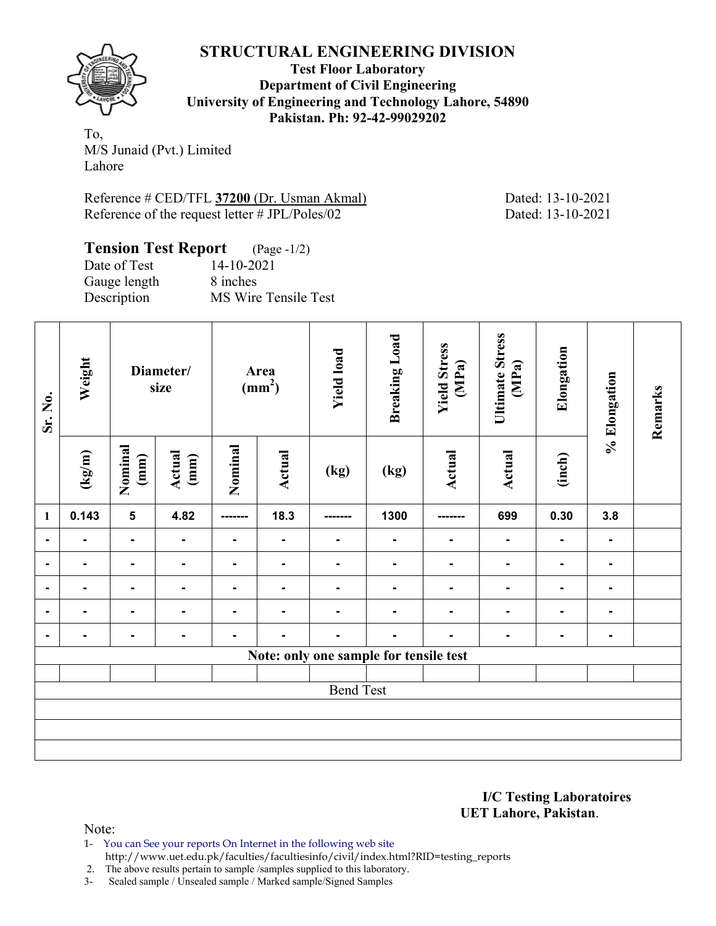

**Test Floor Laboratory Department of Civil Engineering University of Engineering and Technology Lahore, 54890 Pakistan. Ph: 92-42-99029202** 

To, M/S Junaid (Pvt.) Limited Lahore

Reference # CED/TFL **37200** (Dr. Usman Akmal) Dated: 13-10-2021 Reference of the request letter # JPL/Poles/02 Dated: 13-10-2021

| <b>Tension Test Report</b> (Page -1/2) |                             |
|----------------------------------------|-----------------------------|
| Date of Test                           | 14-10-2021                  |
| Gauge length                           | 8 inches                    |
| Description                            | <b>MS Wire Tensile Test</b> |

| Sr. No.                  | Weight | Diameter/<br>size       |                |          |               |                                        | Area<br>$\overline{\text{(mm)}^2}$ | <b>Yield load</b> | <b>Breaking Load</b> | <b>Yield Stress</b><br>(MPa) | <b>Ultimate Stress</b><br>(MPa) | Elongation | % Elongation | Remarks |
|--------------------------|--------|-------------------------|----------------|----------|---------------|----------------------------------------|------------------------------------|-------------------|----------------------|------------------------------|---------------------------------|------------|--------------|---------|
|                          | (kg/m) | Nominal<br>(mm)         | Actual<br>(mm) | Nominal  | <b>Actual</b> | (kg)                                   | (kg)                               | <b>Actual</b>     | Actual               | (inch)                       |                                 |            |              |         |
| $\mathbf{1}$             | 0.143  | $\overline{\mathbf{5}}$ | 4.82           | -------- | 18.3          | -------                                | 1300                               | -------           | 699                  | 0.30                         | 3.8                             |            |              |         |
|                          |        | $\blacksquare$          | $\blacksquare$ |          |               |                                        |                                    |                   |                      | $\blacksquare$               |                                 |            |              |         |
| $\overline{\phantom{0}}$ |        | $\blacksquare$          | $\blacksquare$ |          |               |                                        |                                    |                   |                      | ۰                            |                                 |            |              |         |
| -                        |        | $\blacksquare$          | ۰              |          |               |                                        |                                    |                   |                      | ۰                            |                                 |            |              |         |
| ۰                        |        | $\blacksquare$          | Ξ.             |          |               |                                        |                                    |                   |                      |                              |                                 |            |              |         |
| $\blacksquare$           |        | $\blacksquare$          | $\blacksquare$ |          |               |                                        |                                    |                   |                      |                              |                                 |            |              |         |
|                          |        |                         |                |          |               | Note: only one sample for tensile test |                                    |                   |                      |                              |                                 |            |              |         |
|                          |        |                         |                |          |               |                                        |                                    |                   |                      |                              |                                 |            |              |         |
|                          |        |                         |                |          |               | <b>Bend Test</b>                       |                                    |                   |                      |                              |                                 |            |              |         |
|                          |        |                         |                |          |               |                                        |                                    |                   |                      |                              |                                 |            |              |         |
|                          |        |                         |                |          |               |                                        |                                    |                   |                      |                              |                                 |            |              |         |
|                          |        |                         |                |          |               |                                        |                                    |                   |                      |                              |                                 |            |              |         |

**I/C Testing Laboratoires UET Lahore, Pakistan**.

Note:

1- You can See your reports On Internet in the following web site http://www.uet.edu.pk/faculties/facultiesinfo/civil/index.html?RID=testing\_reports

2. The above results pertain to sample /samples supplied to this laboratory.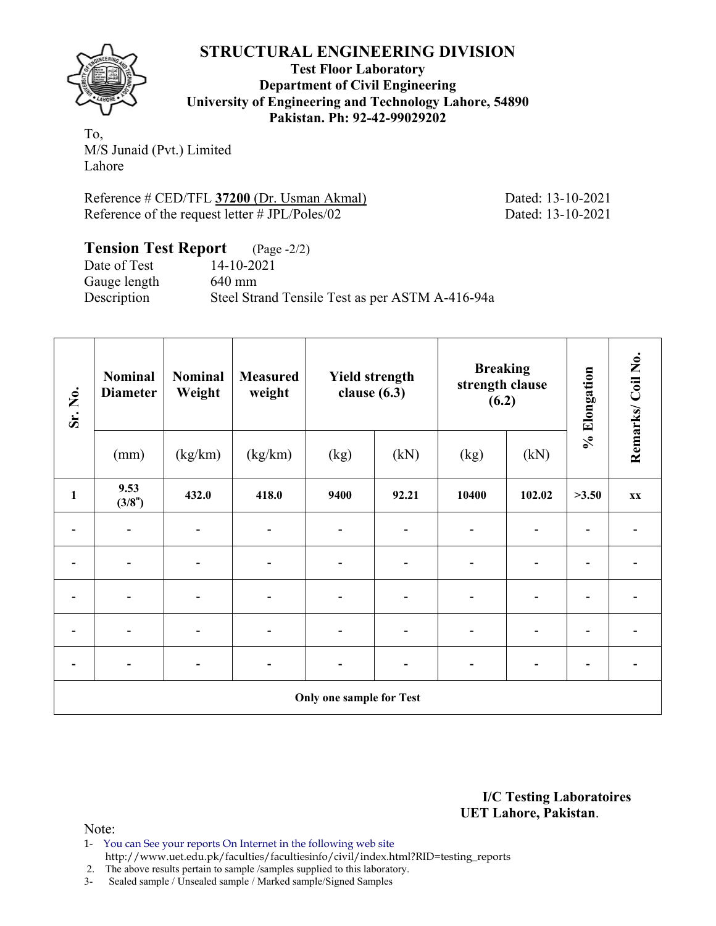

**Test Floor Laboratory Department of Civil Engineering University of Engineering and Technology Lahore, 54890 Pakistan. Ph: 92-42-99029202** 

To, M/S Junaid (Pvt.) Limited Lahore

Reference # CED/TFL **37200** (Dr. Usman Akmal) Dated: 13-10-2021 Reference of the request letter # JPL/Poles/02 Dated: 13-10-2021

## **Tension Test Report** (Page -2/2) Date of Test 14-10-2021 Gauge length 640 mm Description Steel Strand Tensile Test as per ASTM A-416-94a

| Sr. No.      | <b>Nominal</b><br><b>Diameter</b> | <b>Nominal</b><br>Weight | <b>Measured</b><br>weight | <b>Yield strength</b><br>clause $(6.3)$ |       | <b>Breaking</b><br>strength clause<br>(6.2) |        | % Elongation | Remarks/Coil No. |
|--------------|-----------------------------------|--------------------------|---------------------------|-----------------------------------------|-------|---------------------------------------------|--------|--------------|------------------|
|              | (mm)                              | (kg/km)                  | (kg/km)                   | (kg)                                    | (kN)  | (kg)                                        | (kN)   |              |                  |
| $\mathbf{1}$ | 9.53<br>(3/8")                    | 432.0                    | 418.0                     | 9400                                    | 92.21 | 10400                                       | 102.02 | >3.50        | <b>XX</b>        |
|              |                                   |                          |                           |                                         |       |                                             |        |              |                  |
|              |                                   |                          | $\overline{\phantom{0}}$  |                                         |       | $\blacksquare$                              |        |              |                  |
|              |                                   |                          | $\overline{\phantom{0}}$  |                                         |       | $\blacksquare$                              |        |              |                  |
|              |                                   |                          | -                         |                                         |       | $\blacksquare$                              |        |              |                  |
|              |                                   |                          | -                         |                                         |       |                                             |        |              |                  |
|              | Only one sample for Test          |                          |                           |                                         |       |                                             |        |              |                  |

**I/C Testing Laboratoires UET Lahore, Pakistan**.

- 1- You can See your reports On Internet in the following web site http://www.uet.edu.pk/faculties/facultiesinfo/civil/index.html?RID=testing\_reports
- 2. The above results pertain to sample /samples supplied to this laboratory.
- 3- Sealed sample / Unsealed sample / Marked sample/Signed Samples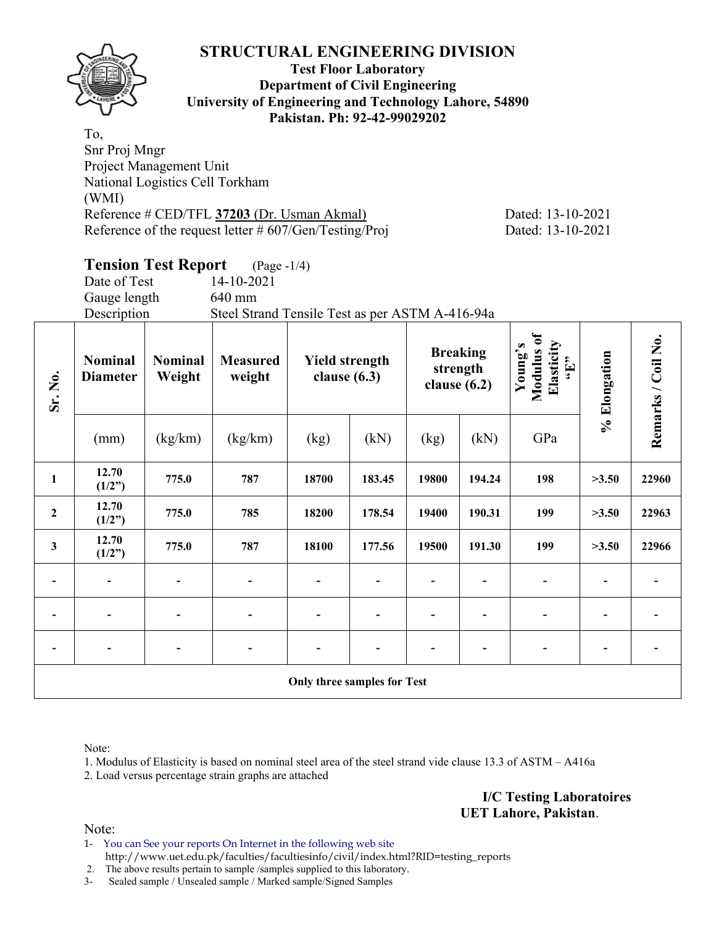

## **Test Floor Laboratory Department of Civil Engineering University of Engineering and Technology Lahore, 54890 Pakistan. Ph: 92-42-99029202**

To, Snr Proj Mngr Project Management Unit National Logistics Cell Torkham (WMI) Reference # CED/TFL **37203** (Dr. Usman Akmal) Dated: 13-10-2021 Reference of the request letter # 607/Gen/Testing/Proj Dated: 13-10-2021

# **Tension Test Report** (Page -1/4)

Date of Test 14-10-2021 Gauge length 640 mm

Description Steel Strand Tensile Test as per ASTM A-416-94a

| Sr. No.                            | <b>Nominal</b><br><b>Diameter</b> | <b>Nominal</b><br>Weight     | <b>Measured</b><br>weight | <b>Yield strength</b><br>clause $(6.3)$ |        |                          | <b>Breaking</b><br>strength<br>clause $(6.2)$ | Modulus of<br>Elasticity<br>Young's<br>$\mathbf{f}$ . | % Elongation | Remarks / Coil No. |
|------------------------------------|-----------------------------------|------------------------------|---------------------------|-----------------------------------------|--------|--------------------------|-----------------------------------------------|-------------------------------------------------------|--------------|--------------------|
|                                    | (mm)                              | (kg/km)                      | (kg/km)                   | (kg)                                    | (kN)   | (kg)                     | (kN)                                          | GPa                                                   |              |                    |
| $\mathbf{1}$                       | 12.70<br>(1/2")                   | 775.0                        | 787                       | 18700                                   | 183.45 | 19800                    | 194.24                                        | 198                                                   | >3.50        | 22960              |
| $\boldsymbol{2}$                   | 12.70<br>(1/2")                   | 775.0                        | 785                       | 18200                                   | 178.54 | 19400                    | 190.31                                        | 199                                                   | >3.50        | 22963              |
| $\mathbf{3}$                       | 12.70<br>(1/2")                   | 775.0                        | 787                       | 18100                                   | 177.56 | 19500                    | 191.30                                        | 199                                                   | >3.50        | 22966              |
| $\overline{\phantom{0}}$           | $\overline{\phantom{a}}$          | $\qquad \qquad \blacksquare$ |                           | $\qquad \qquad \blacksquare$            |        | $\overline{\phantom{0}}$ |                                               | $\blacksquare$                                        |              |                    |
|                                    |                                   |                              |                           | $\overline{a}$                          |        |                          |                                               |                                                       |              |                    |
|                                    | $\overline{\phantom{a}}$          |                              |                           |                                         |        |                          |                                               |                                                       |              |                    |
| <b>Only three samples for Test</b> |                                   |                              |                           |                                         |        |                          |                                               |                                                       |              |                    |

Note:

1. Modulus of Elasticity is based on nominal steel area of the steel strand vide clause 13.3 of ASTM – A416a

2. Load versus percentage strain graphs are attached

**I/C Testing Laboratoires UET Lahore, Pakistan**.

Note:

1- You can See your reports On Internet in the following web site http://www.uet.edu.pk/faculties/facultiesinfo/civil/index.html?RID=testing\_reports

2. The above results pertain to sample /samples supplied to this laboratory.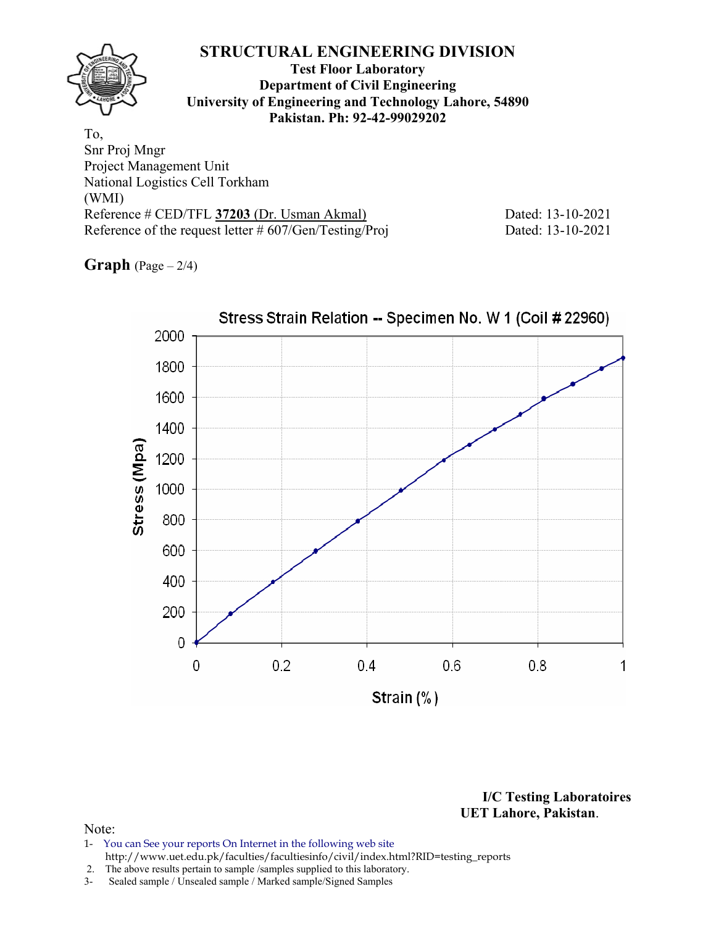## **Test Floor Laboratory Department of Civil Engineering University of Engineering and Technology Lahore, 54890 Pakistan. Ph: 92-42-99029202**

To, Snr Proj Mngr Project Management Unit National Logistics Cell Torkham (WMI) Reference # CED/TFL **37203** (Dr. Usman Akmal) Dated: 13-10-2021 Reference of the request letter # 607/Gen/Testing/Proj Dated: 13-10-2021

**Graph** (Page – 2/4)



**I/C Testing Laboratoires UET Lahore, Pakistan**.

## Note:

1- You can See your reports On Internet in the following web site http://www.uet.edu.pk/faculties/facultiesinfo/civil/index.html?RID=testing\_reports

2. The above results pertain to sample /samples supplied to this laboratory.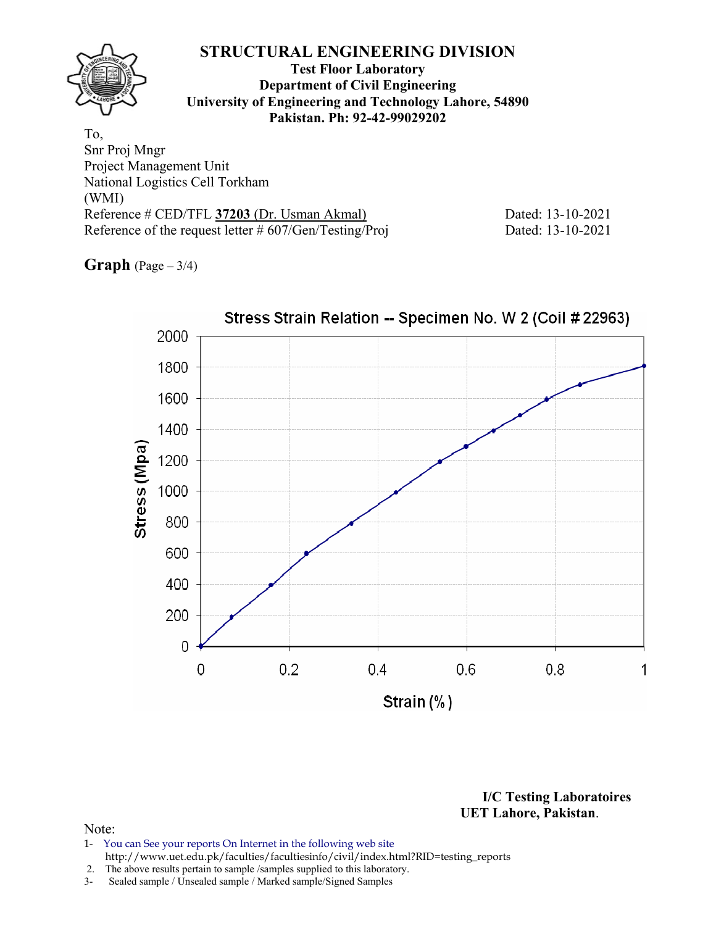## **Test Floor Laboratory Department of Civil Engineering University of Engineering and Technology Lahore, 54890 Pakistan. Ph: 92-42-99029202**

To, Snr Proj Mngr Project Management Unit National Logistics Cell Torkham (WMI) Reference # CED/TFL **37203** (Dr. Usman Akmal) Dated: 13-10-2021 Reference of the request letter # 607/Gen/Testing/Proj Dated: 13-10-2021

**Graph** (Page – 3/4)



**I/C Testing Laboratoires UET Lahore, Pakistan**.

- 1- You can See your reports On Internet in the following web site http://www.uet.edu.pk/faculties/facultiesinfo/civil/index.html?RID=testing\_reports
- 2. The above results pertain to sample /samples supplied to this laboratory.
- 3- Sealed sample / Unsealed sample / Marked sample/Signed Samples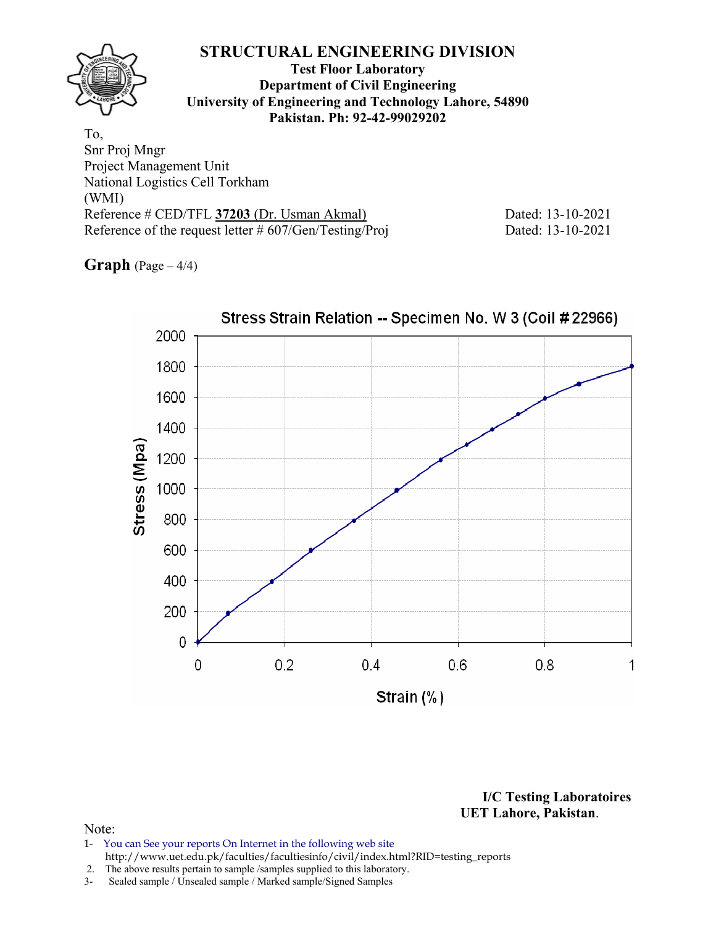## **Test Floor Laboratory Department of Civil Engineering University of Engineering and Technology Lahore, 54890 Pakistan. Ph: 92-42-99029202**

To, Snr Proj Mngr Project Management Unit National Logistics Cell Torkham (WMI) Reference # CED/TFL **37203** (Dr. Usman Akmal) Dated: 13-10-2021 Reference of the request letter # 607/Gen/Testing/Proj Dated: 13-10-2021

**Graph** (Page – 4/4)



**I/C Testing Laboratoires UET Lahore, Pakistan**.

- 1- You can See your reports On Internet in the following web site http://www.uet.edu.pk/faculties/facultiesinfo/civil/index.html?RID=testing\_reports
- 2. The above results pertain to sample /samples supplied to this laboratory.
- 3- Sealed sample / Unsealed sample / Marked sample/Signed Samples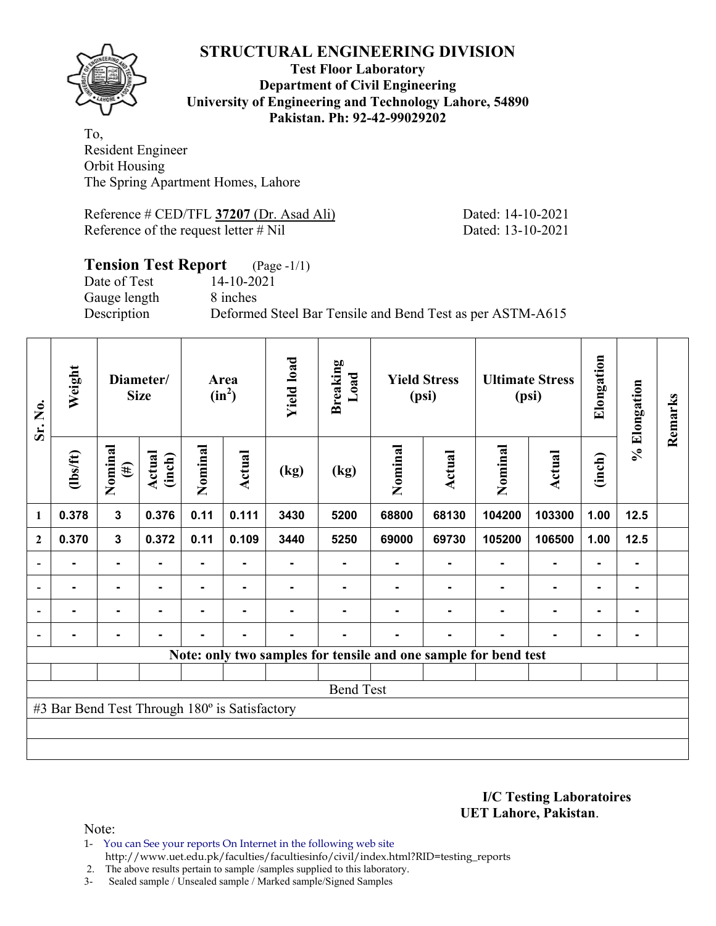

## **Test Floor Laboratory Department of Civil Engineering University of Engineering and Technology Lahore, 54890 Pakistan. Ph: 92-42-99029202**

To, Resident Engineer Orbit Housing The Spring Apartment Homes, Lahore

Reference # CED/TFL **37207** (Dr. Asad Ali) Dated: 14-10-2021 Reference of the request letter # Nil Dated: 13-10-2021

## **Tension Test Report** (Page -1/1) Date of Test 14-10-2021 Gauge length 8 inches Description Deformed Steel Bar Tensile and Bend Test as per ASTM-A615

| Sr. No.                  | Weight                                        |                         | Diameter/<br><b>Size</b> |         | Area<br>$(in^2)$ | <b>Yield load</b> | <b>Breaking</b><br>Load |         | <b>Yield Stress</b><br>(psi) |                                                                 | <b>Ultimate Stress</b><br>(psi) | Elongation     | % Elongation | Remarks |
|--------------------------|-----------------------------------------------|-------------------------|--------------------------|---------|------------------|-------------------|-------------------------|---------|------------------------------|-----------------------------------------------------------------|---------------------------------|----------------|--------------|---------|
|                          | (1bs/ft)                                      | Nominal<br>$(\#)$       | Actual<br>(inch)         | Nominal | Actual           | (kg)              | (kg)                    | Nominal | <b>Actual</b>                | Nominal                                                         | Actual                          | (inch)         |              |         |
| 1                        | 0.378                                         | $\overline{\mathbf{3}}$ | 0.376                    | 0.11    | 0.111            | 3430              | 5200                    | 68800   | 68130                        | 104200                                                          | 103300                          | 1.00           | 12.5         |         |
| $\mathbf{2}$             | 0.370                                         | $\mathbf{3}$            | 0.372                    | 0.11    | 0.109            | 3440              | 5250                    | 69000   | 69730                        | 105200                                                          | 106500                          | 1.00           | 12.5         |         |
|                          |                                               | $\blacksquare$          |                          |         |                  |                   |                         |         |                              |                                                                 |                                 |                |              |         |
| $\overline{\phantom{0}}$ |                                               | ۰                       |                          |         |                  |                   |                         |         |                              |                                                                 | $\blacksquare$                  | $\blacksquare$ |              |         |
|                          |                                               | ۰                       |                          |         |                  |                   |                         |         |                              |                                                                 | $\blacksquare$                  | $\blacksquare$ |              |         |
| $\blacksquare$           | $\blacksquare$                                | $\blacksquare$          | $\blacksquare$           |         | $\blacksquare$   | $\blacksquare$    |                         |         | ۰                            |                                                                 | $\blacksquare$                  | $\blacksquare$ |              |         |
|                          |                                               |                         |                          |         |                  |                   |                         |         |                              | Note: only two samples for tensile and one sample for bend test |                                 |                |              |         |
|                          |                                               |                         |                          |         |                  |                   |                         |         |                              |                                                                 |                                 |                |              |         |
|                          |                                               |                         |                          |         |                  |                   | <b>Bend Test</b>        |         |                              |                                                                 |                                 |                |              |         |
|                          | #3 Bar Bend Test Through 180° is Satisfactory |                         |                          |         |                  |                   |                         |         |                              |                                                                 |                                 |                |              |         |
|                          |                                               |                         |                          |         |                  |                   |                         |         |                              |                                                                 |                                 |                |              |         |
|                          |                                               |                         |                          |         |                  |                   |                         |         |                              |                                                                 |                                 |                |              |         |

**I/C Testing Laboratoires UET Lahore, Pakistan**.

Note:

1- You can See your reports On Internet in the following web site http://www.uet.edu.pk/faculties/facultiesinfo/civil/index.html?RID=testing\_reports

2. The above results pertain to sample /samples supplied to this laboratory.